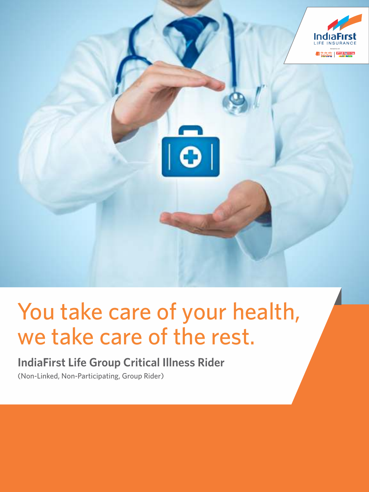

# You take care of your health, we take care of the rest.

# **IndiaFirst Life Group Critical Illness Rider**

(Non-Linked, Non-Participating, Group Rider)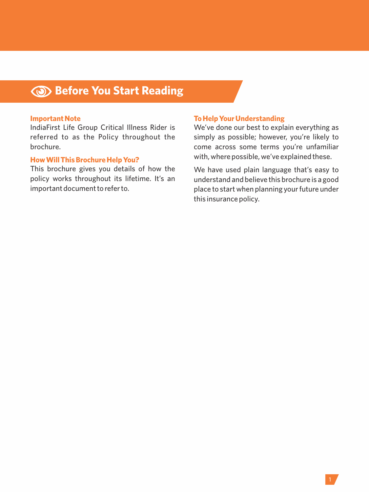# **Before You Start Reading**

#### **Important Note**

IndiaFirst Life Group Critical Illness Rider is referred to as the Policy throughout the brochure.

#### **How Will This Brochure Help You?**

This brochure gives you details of how the policy works throughout its lifetime. It's an important document to refer to.

#### **To Help Your Understanding**

We've done our best to explain everything as simply as possible; however, you're likely to come across some terms you're unfamiliar with, where possible, we've explained these.

We have used plain language that's easy to understand and believe this brochure is a good place to start when planning your future under this insurance policy.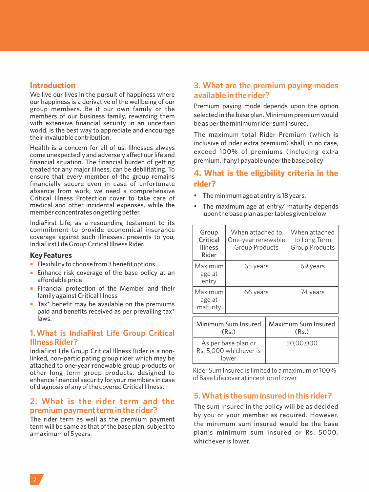# **Introduction**

We live our lives in the pursuit of happiness where our happiness is a derivative of the wellbeing of our group members. Be it our own family or the members of our business family, rewarding them with extensive financial security in an uncertain world, is the best way to appreciate and encourage their invaluable contribution.

Health is a concern for all of us. Illnesses always come unexpectedly and adversely affect our life and financial situation. The financial burden of getting treated for any major illness, can be debilitating. To ensure that every member of the group remains financially secure even in case of unfortunate absence from work, we need a comprehensive Critical Illness Protection cover to take care of medical and other incidental expenses, while the member concentrates on getting better.

IndiaFirst Life, as a resounding testament to its commitment to provide economical insurance coverage against such illnesses, presents to you, IndiaFirst Life Group Critical Illness Rider.

#### **Key Features**

- Flexibility to choose from 3 benefit options
- **Enhance risk coverage of the base policy at an** affordable price
- Financial protection of the Member and their family against Critical Illness
- $\blacksquare$  Tax\* benefit may be available on the premiums paid and benefits received as per prevailing tax\* laws.

# **1. What is IndiaFirst Life Group Critical Illness Rider?**

IndiaFirst Life Group Critical Illness Rider is a nonlinked, non-participating group rider which may be attached to one-year renewable group products or other long term group products, designed to enhance financial security for your members in case of diagnosis of any of the covered Critical Illness.

# **2. What is the rider term and the premium payment term in the rider?**

The rider term as well as the premium payment term will be same as that of the base plan, subject to a maximum of 5 years.

# **3. What are the premium paying modes available in the rider?**

Premium paying mode depends upon the option selected in the base plan. Minimum premium would be as per the minimum rider sum insured.

The maximum total Rider Premium (which is inclusive of rider extra premium) shall, in no case, exceed 100% of premiums (including extra premium, if any) payable under the base policy

# **4. What is the eligibility criteria in the rider?**

- The minimum age at entry is 18 years.
- The maximum age at entry/ maturity depends upon the base plan as per tables given below:

| Group<br>Critical<br>Illness<br>Rider                  | When attached to<br>One-year renewable<br><b>Group Products</b> |                              | When attached<br>to Long Term<br>Group Products |
|--------------------------------------------------------|-----------------------------------------------------------------|------------------------------|-------------------------------------------------|
| Maximum<br>age at<br>entry                             | 65 years                                                        |                              | 69 years                                        |
| Maximum<br>age at<br>maturity                          | 66 years                                                        |                              | 74 years                                        |
| Minimum Sum Insured<br>(Rs.)                           |                                                                 | Maximum Sum Insured<br>(Rs.) |                                                 |
| As per base plan or<br>Rs. 5,000 whichever is<br>lower |                                                                 |                              | 50,00,000                                       |

Rider Sum Insured is limited to a maximum of 100% of Base Life cover at inception of cover

# **5. What is the sum insured in this rider?**

The sum insured in the policy will be as decided by you or your member as required. However, the minimum sum insured would be the base plan's minimum sum insured or Rs. 5000, whichever is lower.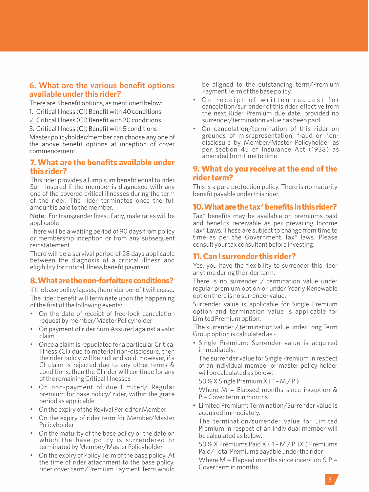# **6. What are the various benefit options available under this rider?**

There are 3 benefit options, as mentioned below:

- 1. Critical Illness (CI) Benefit with 40 conditions
- 2. Critical Illness (CI) Benefit with 20 conditions
- 3. Critical Illness (CI) Benefit with 5 conditions

Master policyholder/member can choose any one of the above benefit options at inception of cover commencement.

# **7. What are the benefits available under this rider?**

This rider provides a lump sum benefit equal to rider Sum Insured if the member is diagnosed with any one of the covered critical illnesses during the term of the rider. The rider terminates once the full amount is paid to the member.

Note: For transgender lives, if any, male rates will be applicable

There will be a waiting period of 90 days from policy or membership inception or from any subsequent reinstatement.

There will be a survival period of 28 days applicable between the diagnosis of a critical illness and eligibility for critical illness benefit payment.

# **8.Whatarethenon-forfeitureconditions?**

If the base policy lapses, then rider benefit will cease. The rider benefit will terminate upon the happening of the first of the following events:

- On the date of receipt of free-look cancelation request by member/Master Policyholder
- On payment of rider Sum Assured against a valid claim
- Once a claim is repudiated for a particular Critical Illness (CI) due to material non-disclosure, then the rider policy will be null and void. However, if a CI claim is rejected due to any other terms & conditions, then the CI rider will continue for any of the remaining Critical Illnesses
- On non-payment of due Limited/ Regular premium for base policy/ rider, within the grace period as applicable
- On the expiry of the Revival Period for Member
- On the expiry of rider term for Member/Master Policyholder
- On the maturity of the base policy or the date on which the base policy is surrendered or terminated by Member/Master Policyholder
- On the expiry of Policy Term of the base policy. At the time of rider attachment to the base policy, rider cover term/Premium Payment Term would

be aligned to the outstanding term/Premium Payment Term of the base policy

- On receipt of written request for cancelation/surrender of this rider, effective from the next Rider Premium due date, provided no surrender/termination value has been paid
- On cancelation/termination of this rider on grounds of misrepresentation, fraud or nondisclosure by Member/Master Policyholder as per section 45 of Insurance Act (1938) as amended from time to time

# **9. What do you receive at the end of the rider term?**

This is a pure protection policy. There is no maturity benefit payable under this rider.

#### **10.Whatarethetax\*benefitsinthisrider?**

Tax\* benefits may be available on premiums paid and benefits receivable as per prevailing Income Tax\* Laws. These are subject to change from time to time as per the Government Tax\* laws. Please consult your tax consultant before investing.

#### **11. Can I surrender this rider?**

Yes, you have the flexibility to surrender this rider anytime during the rider term.

There is no surrender / termination value under regular premium option or under Yearly Renewable option there is no surrender value.

Surrender value is applicable for Single Premium option and termination value is applicable for Limited Premium option.

The surrender / termination value under Long Term Group option is calculated as -

• Single Premium: Surrender value is acquired immediately.

The surrender value for Single Premium in respect of an individual member or master policy holder will be calculated as below:

50% X Single Premium X { 1 – M / P }

Where  $M =$  Elapsed months since inception  $\&$  $P = Cover term in months$ 

• Limited Premium: Termination/Surrender value is acquired immediately.

The termination/surrender value for Limited Premium in respect of an individual member will be calculated as below:

50% X Premiums Paid X { 1 – M / P }X ( Premiums Paid/ Total Premiums payable under the rider

Where  $M =$  Elapsed months since inception  $\& P =$ Cover term in months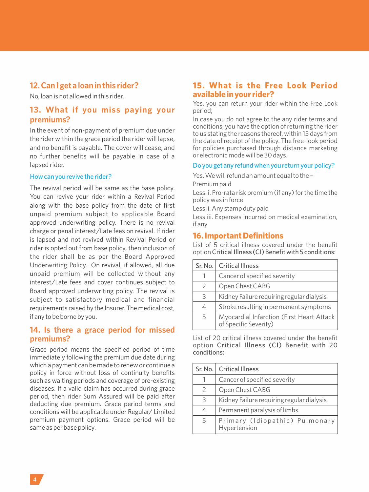# **12. Can I get a loan in this rider?**

No, loan is not allowed in this rider.

# **13. What if you miss paying your premiums?**

In the event of non-payment of premium due under the rider within the grace period the rider will lapse, and no benefit is payable. The cover will cease, and no further benefits will be payable in case of a lapsed rider.

# How can you revive the rider?

The revival period will be same as the base policy. You can revive your rider within a Revival Period along with the base policy from the date of first unpaid premium subject to applicable Board approved underwriting policy. There is no revival charge or penal interest/Late fees on revival. If rider is lapsed and not revived within Revival Period or rider is opted out from base policy, then inclusion of the rider shall be as per the Board Approved Underwriting Policy.. On revival, if allowed, all due unpaid premium will be collected without any interest/Late fees and cover continues subject to Board approved underwriting policy. The revival is subject to satisfactory medical and financial requirements raised by the Insurer. The medical cost, if any to be borne by you.

# **14. Is there a grace period for missed premiums?**

Grace period means the specified period of time immediately following the premium due date during which a payment can be made to renew or continue a policy in force without loss of continuity benefits such as waiting periods and coverage of pre-existing diseases. If a valid claim has occurred during grace period, then rider Sum Assured will be paid after deducting due premium. Grace period terms and conditions will be applicable under Regular/ Limited premium payment options. Grace period will be same as per base policy.

# **15. What is the Free Look Period available in your rider?**

Yes, you can return your rider within the Free Look period;

In case you do not agree to the any rider terms and conditions, you have the option of returning the rider to us stating the reasons thereof, within 15 days from the date of receipt of the policy. The free-look period for policies purchased through distance marketing or electronic mode will be 30 days.

#### Do you get any refund when you return your policy?

Yes. We will refund an amount equal to the – Premium paid

Less: i. Pro-rata risk premium (if any) for the time the policy was in force

Less ii. Any stamp duty paid

Less iii. Expenses incurred on medical examination, if any

#### **16. Important Definitions**

List of 5 critical illness covered under the benefit option Critical Illness (CI) Benefit with 5 conditions:

| Sr. No.       | <b>Critical Illness</b>                                            |
|---------------|--------------------------------------------------------------------|
|               | Cancer of specified severity                                       |
| $\mathcal{P}$ | Open Chest CABG                                                    |
| 3             | Kidney Failure requiring regular dialysis                          |
|               | Stroke resulting in permanent symptoms                             |
| 5             | Myocardial Infarction (First Heart Attack<br>of Specific Severity) |

List of 20 critical illness covered under the benefit option Critical Illness (CI) Benefit with 20 conditions:

|               | Sr. No.   Critical Illness                     |
|---------------|------------------------------------------------|
|               | Cancer of specified severity                   |
| $\mathcal{P}$ | Open Chest CABG                                |
| 3             | Kidney Failure requiring regular dialysis      |
|               | Permanent paralysis of limbs                   |
| 5             | Primary (Idiopathic) Pulmonary<br>Hypertension |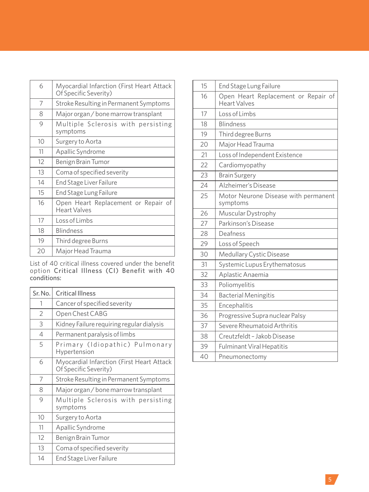| 6  | Myocardial Infarction (First Heart Attack<br>Of Specific Severity) |
|----|--------------------------------------------------------------------|
| 7  | Stroke Resulting in Permanent Symptoms                             |
| 8  | Major organ / bone marrow transplant                               |
| 9  | Multiple Sclerosis with persisting<br>symptoms                     |
| 10 | Surgery to Aorta                                                   |
| 11 | Apallic Syndrome                                                   |
| 12 | Benign Brain Tumor                                                 |
| 13 | Coma of specified severity                                         |
| 14 | End Stage Liver Failure                                            |
| 15 | End Stage Lung Failure                                             |
| 16 | Open Heart Replacement or Repair of<br><b>Heart Valves</b>         |
| 17 | Loss of Limbs                                                      |
| 18 | <b>Blindness</b>                                                   |
| 19 | Third degree Burns                                                 |
| 20 | Major Head Trauma                                                  |

List of 40 critical illness covered under the benefit option Critical Illness (CI) Benefit with 40 conditions:

| Sr. No.        | <b>Critical Illness</b>                                            |
|----------------|--------------------------------------------------------------------|
| 1              | Cancer of specified severity                                       |
| $\overline{2}$ | Open Chest CABG                                                    |
| 3              | Kidney Failure requiring regular dialysis                          |
| 4              | Permanent paralysis of limbs                                       |
| 5              | Primary (Idiopathic) Pulmonary<br>Hypertension                     |
| 6              | Myocardial Infarction (First Heart Attack<br>Of Specific Severity) |
| 7              | Stroke Resulting in Permanent Symptoms                             |
| 8              | Major organ / bone marrow transplant                               |
| 9              | Multiple Sclerosis with persisting<br>symptoms                     |
| 10             | Surgery to Aorta                                                   |
| 11             | Apallic Syndrome                                                   |
| 12             | Benign Brain Tumor                                                 |
| 13             | Coma of specified severity                                         |
| 14             | End Stage Liver Failure                                            |

| 15 | End Stage Lung Failure                                     |
|----|------------------------------------------------------------|
| 16 | Open Heart Replacement or Repair of<br><b>Heart Valves</b> |
| 17 | Loss of Limbs                                              |
| 18 | <b>Blindness</b>                                           |
| 19 | Third degree Burns                                         |
| 20 | Major Head Trauma                                          |
| 21 | Loss of Independent Existence                              |
| 22 | Cardiomyopathy                                             |
| 23 | <b>Brain Surgery</b>                                       |
| 24 | Alzheimer's Disease                                        |
| 25 | Motor Neurone Disease with permanent<br>symptoms           |
| 26 | Muscular Dystrophy                                         |
| 27 | Parkinson's Disease                                        |
| 28 | Deafness                                                   |
| 29 | Loss of Speech                                             |
| 30 | <b>Medullary Cystic Disease</b>                            |
| 31 | Systemic Lupus Erythematosus                               |
| 32 | Aplastic Anaemia                                           |
| 33 | Poliomyelitis                                              |
| 34 | <b>Bacterial Meningitis</b>                                |
| 35 | Encephalitis                                               |
| 36 | Progressive Supra nuclear Palsy                            |
| 37 | Severe Rheumatoid Arthritis                                |
| 38 | Creutzfeldt - Jakob Disease                                |
| 39 | <b>Fulminant Viral Hepatitis</b>                           |
| 40 | Pneumonectomy                                              |
|    |                                                            |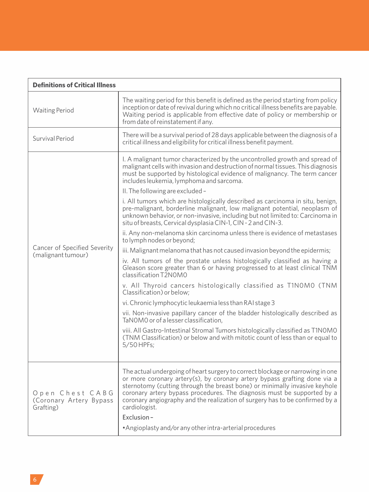| <b>Definitions of Critical Illness</b>                  |                                                                                                                                                                                                                                                                                                                                                                                                                                                                                                                                                                                                                                                                                                                                                                                                                                                                                                                                                                                                                                                                                                                                                                                                                                                                                                                                                                                                    |
|---------------------------------------------------------|----------------------------------------------------------------------------------------------------------------------------------------------------------------------------------------------------------------------------------------------------------------------------------------------------------------------------------------------------------------------------------------------------------------------------------------------------------------------------------------------------------------------------------------------------------------------------------------------------------------------------------------------------------------------------------------------------------------------------------------------------------------------------------------------------------------------------------------------------------------------------------------------------------------------------------------------------------------------------------------------------------------------------------------------------------------------------------------------------------------------------------------------------------------------------------------------------------------------------------------------------------------------------------------------------------------------------------------------------------------------------------------------------|
| <b>Waiting Period</b>                                   | The waiting period for this benefit is defined as the period starting from policy<br>inception or date of revival during which no critical illness benefits are payable.<br>Waiting period is applicable from effective date of policy or membership or<br>from date of reinstatement if any.                                                                                                                                                                                                                                                                                                                                                                                                                                                                                                                                                                                                                                                                                                                                                                                                                                                                                                                                                                                                                                                                                                      |
| Survival Period                                         | There will be a survival period of 28 days applicable between the diagnosis of a<br>critical illness and eligibility for critical illness benefit payment.                                                                                                                                                                                                                                                                                                                                                                                                                                                                                                                                                                                                                                                                                                                                                                                                                                                                                                                                                                                                                                                                                                                                                                                                                                         |
| Cancer of Specified Severity<br>(malignant tumour)      | I. A malignant tumor characterized by the uncontrolled growth and spread of<br>malignant cells with invasion and destruction of normal tissues. This diagnosis<br>must be supported by histological evidence of malignancy. The term cancer<br>includes leukemia, lymphoma and sarcoma.<br>II. The following are excluded -<br>i. All tumors which are histologically described as carcinoma in situ, benign,<br>pre-malignant, borderline malignant, low malignant potential, neoplasm of<br>unknown behavior, or non-invasive, including but not limited to: Carcinoma in<br>situ of breasts, Cervical dysplasia CIN-1, CIN - 2 and CIN-3.<br>ii. Any non-melanoma skin carcinoma unless there is evidence of metastases<br>to lymph nodes or beyond;<br>iii. Malignant melanoma that has not caused invasion beyond the epidermis;<br>iv. All tumors of the prostate unless histologically classified as having a<br>Gleason score greater than 6 or having progressed to at least clinical TNM<br>classification T2N0M0<br>v. All Thyroid cancers histologically classified as T1NOMO (TNM<br>Classification) or below;<br>vi. Chronic lymphocytic leukaemia less than RAI stage 3<br>vii. Non-invasive papillary cancer of the bladder histologically described as<br>TaNOMO or of a lesser classification.<br>viii. All Gastro-Intestinal Stromal Tumors histologically classified as T1NOMO |
|                                                         | (TNM Classification) or below and with mitotic count of less than or equal to<br>5/50 HPFs;                                                                                                                                                                                                                                                                                                                                                                                                                                                                                                                                                                                                                                                                                                                                                                                                                                                                                                                                                                                                                                                                                                                                                                                                                                                                                                        |
| Open Chest CABG<br>(Coronary Artery Bypass<br>Grafting) | The actual undergoing of heart surgery to correct blockage or narrowing in one<br>or more coronary artery(s), by coronary artery bypass grafting done via a<br>sternotomy (cutting through the breast bone) or minimally invasive keyhole<br>coronary artery bypass procedures. The diagnosis must be supported by a<br>coronary angiography and the realization of surgery has to be confirmed by a<br>cardiologist.<br>Exclusion-<br>• Angioplasty and/or any other intra-arterial procedures                                                                                                                                                                                                                                                                                                                                                                                                                                                                                                                                                                                                                                                                                                                                                                                                                                                                                                    |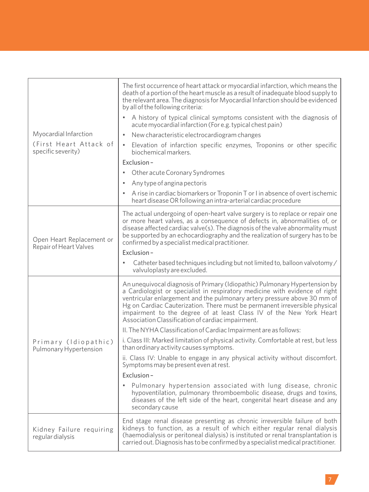|                                                     | The first occurrence of heart attack or myocardial infarction, which means the<br>death of a portion of the heart muscle as a result of inadequate blood supply to<br>the relevant area. The diagnosis for Myocardial Infarction should be evidenced<br>by all of the following criteria:                                                                                                                                                       |
|-----------------------------------------------------|-------------------------------------------------------------------------------------------------------------------------------------------------------------------------------------------------------------------------------------------------------------------------------------------------------------------------------------------------------------------------------------------------------------------------------------------------|
|                                                     | A history of typical clinical symptoms consistent with the diagnosis of<br>acute myocardial infarction (For e.g. typical chest pain)                                                                                                                                                                                                                                                                                                            |
| Myocardial Infarction                               | New characteristic electrocardiogram changes                                                                                                                                                                                                                                                                                                                                                                                                    |
| (First Heart Attack of<br>specific severity)        | Elevation of infarction specific enzymes, Troponins or other specific<br>biochemical markers.                                                                                                                                                                                                                                                                                                                                                   |
|                                                     | Exclusion-                                                                                                                                                                                                                                                                                                                                                                                                                                      |
|                                                     | Other acute Coronary Syndromes                                                                                                                                                                                                                                                                                                                                                                                                                  |
|                                                     | Any type of angina pectoris                                                                                                                                                                                                                                                                                                                                                                                                                     |
|                                                     | A rise in cardiac biomarkers or Troponin T or I in absence of overt ischemic<br>heart disease OR following an intra-arterial cardiac procedure                                                                                                                                                                                                                                                                                                  |
| Open Heart Replacement or<br>Repair of Heart Valves | The actual undergoing of open-heart valve surgery is to replace or repair one<br>or more heart valves, as a consequence of defects in, abnormalities of, or<br>disease affected cardiac valve(s). The diagnosis of the valve abnormality must<br>be supported by an echocardiography and the realization of surgery has to be<br>confirmed by a specialist medical practitioner.                                                                |
|                                                     | Exclusion-                                                                                                                                                                                                                                                                                                                                                                                                                                      |
|                                                     | Catheter based techniques including but not limited to, balloon valvotomy/<br>valvuloplasty are excluded.                                                                                                                                                                                                                                                                                                                                       |
|                                                     | An unequivocal diagnosis of Primary (Idiopathic) Pulmonary Hypertension by<br>a Cardiologist or specialist in respiratory medicine with evidence of right<br>ventricular enlargement and the pulmonary artery pressure above 30 mm of<br>Hg on Cardiac Cauterization. There must be permanent irreversible physical<br>impairment to the degree of at least Class IV of the New York Heart<br>Association Classification of cardiac impairment. |
|                                                     | II. The NYHA Classification of Cardiac Impairment are as follows:                                                                                                                                                                                                                                                                                                                                                                               |
| Primary (Idiopathic)<br>Pulmonary Hypertension      | i. Class III: Marked limitation of physical activity. Comfortable at rest, but less<br>than ordinary activity causes symptoms.                                                                                                                                                                                                                                                                                                                  |
|                                                     | ii. Class IV: Unable to engage in any physical activity without discomfort.<br>Symptoms may be present even at rest.                                                                                                                                                                                                                                                                                                                            |
|                                                     | Exclusion-                                                                                                                                                                                                                                                                                                                                                                                                                                      |
|                                                     | Pulmonary hypertension associated with lung disease, chronic<br>hypoventilation, pulmonary thromboembolic disease, drugs and toxins,<br>diseases of the left side of the heart, congenital heart disease and any<br>secondary cause                                                                                                                                                                                                             |
| Kidney Failure requiring<br>regular dialysis        | End stage renal disease presenting as chronic irreversible failure of both<br>kidneys to function, as a result of which either regular renal dialysis<br>(haemodialysis or peritoneal dialysis) is instituted or renal transplantation is<br>carried out. Diagnosis has to be confirmed by a specialist medical practitioner.                                                                                                                   |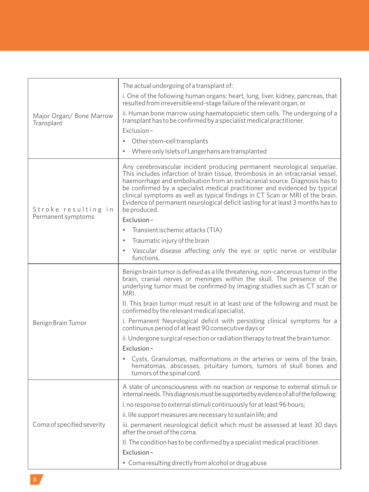| Major Organ/ Bone Marrow<br>Transplant    | The actual undergoing of a transplant of:<br>i. One of the following human organs: heart, lung, liver, kidney, pancreas, that<br>resulted from irreversible end-stage failure of the relevant organ, or<br>ii. Human bone marrow using haematopoietic stem cells. The undergoing of a<br>transplant has to be confirmed by a specialist medical practitioner.<br>Exclusion-<br>Other stem-cell transplants<br>Where only Islets of Langerhans are transplanted                                                                                                                                                                                                                                                                                                                                       |
|-------------------------------------------|------------------------------------------------------------------------------------------------------------------------------------------------------------------------------------------------------------------------------------------------------------------------------------------------------------------------------------------------------------------------------------------------------------------------------------------------------------------------------------------------------------------------------------------------------------------------------------------------------------------------------------------------------------------------------------------------------------------------------------------------------------------------------------------------------|
| Stroke resulting in<br>Permanent symptoms | Any cerebrovascular incident producing permanent neurological sequelae.<br>This includes infarction of brain tissue, thrombosis in an intracranial vessel,<br>haemorrhage and embolisation from an extracranial source. Diagnosis has to<br>be confirmed by a specialist medical practitioner and evidenced by typical<br>clinical symptoms as well as typical findings in CT Scan or MRI of the brain.<br>Evidence of permanent neurological deficit lasting for at least 3 months has to<br>be produced.<br>Exclusion-<br>Transient ischemic attacks (TIA)<br>Traumatic injury of the brain<br>Vascular disease affecting only the eye or optic nerve or vestibular<br>functions.                                                                                                                  |
| Benign Brain Tumor                        | Benign brain tumor is defined as a life threatening, non-cancerous tumor in the<br>brain, cranial nerves or meninges within the skull. The presence of the<br>underlying tumor must be confirmed by imaging studies such as CT scan or<br>MRI.<br>II. This brain tumor must result in at least one of the following and must be<br>confirmed by the relevant medical specialist.<br>i. Permanent Neurological deficit with persisting clinical symptoms for a<br>continuous period of at least 90 consecutive days or<br>ii. Undergone surgical resection or radiation therapy to treat the brain tumor.<br>Exclusion-<br>Cysts, Granulomas, malformations in the arteries or veins of the brain,<br>hematomas, abscesses, pituitary tumors, tumors of skull bones and<br>tumors of the spinal cord. |
| Coma of specified severity                | A state of unconsciousness with no reaction or response to external stimuli or<br>internal needs. This diagnosis must be supported by evidence of all of the following:<br>i. no response to external stimuli continuously for at least 96 hours;<br>ii. life support measures are necessary to sustain life; and<br>iii. permanent neurological deficit which must be assessed at least 30 days<br>after the onset of the coma.<br>II. The condition has to be confirmed by a specialist medical practitioner.<br>Exclusion-<br>• Coma resulting directly from alcohol or drug abuse                                                                                                                                                                                                                |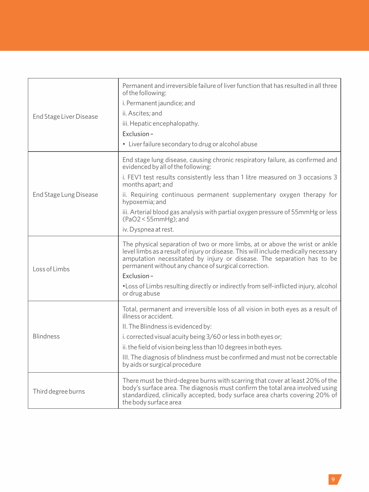| <b>End Stage Liver Disease</b> | Permanent and irreversible failure of liver function that has resulted in all three<br>of the following:<br>i. Permanent jaundice; and<br>ii. Ascites; and<br>iii. Hepatic encephalopathy.<br>Fxclusion-<br>· Liver failure secondary to drug or alcohol abuse                                                                                                                                                                                           |
|--------------------------------|----------------------------------------------------------------------------------------------------------------------------------------------------------------------------------------------------------------------------------------------------------------------------------------------------------------------------------------------------------------------------------------------------------------------------------------------------------|
| End Stage Lung Disease         | End stage lung disease, causing chronic respiratory failure, as confirmed and<br>evidenced by all of the following:<br>i. FEV1 test results consistently less than 1 litre measured on 3 occasions 3<br>months apart; and<br>ii. Requiring continuous permanent supplementary oxygen therapy for<br>hypoxemia; and<br>iii. Arterial blood gas analysis with partial oxygen pressure of 55mmHg or less<br>$(PaO2 < 55mmHg)$ ; and<br>iv. Dyspnea at rest. |
| Loss of Limbs                  | The physical separation of two or more limbs, at or above the wrist or ankle<br>level limbs as a result of injury or disease. This will include medically necessary<br>amputation necessitated by injury or disease. The separation has to be<br>permanent without any chance of surgical correction.<br>Exclusion-<br>• Loss of Limbs resulting directly or indirectly from self-inflicted injury, alcohol<br>or drug abuse                             |
| <b>Blindness</b>               | Total, permanent and irreversible loss of all vision in both eyes as a result of<br>illness or accident.<br>II. The Blindness is evidenced by:<br>i. corrected visual acuity being 3/60 or less in both eyes or;<br>ii. the field of vision being less than 10 degrees in both eyes.<br>III. The diagnosis of blindness must be confirmed and must not be correctable<br>by aids or surgical procedure                                                   |
| Third degree burns             | There must be third-degree burns with scarring that cover at least 20% of the<br>body's surface area. The diagnosis must confirm the total area involved using<br>standardized, clinically accepted, body surface area charts covering 20% of<br>the body surface area                                                                                                                                                                                   |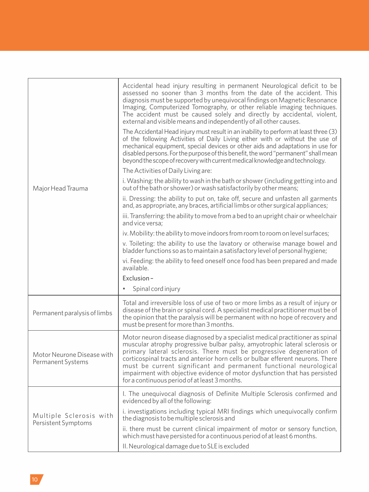|                                                 | Accidental head injury resulting in permanent Neurological deficit to be<br>assessed no sooner than 3 months from the date of the accident. This<br>diagnosis must be supported by unequivocal findings on Magnetic Resonance<br>Imaging, Computerized Tomography, or other reliable imaging techniques.<br>The accident must be caused solely and directly by accidental, violent,<br>external and visible means and independently of all other causes.<br>The Accidental Head injury must result in an inability to perform at least three (3)<br>of the following Activities of Daily Living either with or without the use of<br>mechanical equipment, special devices or other aids and adaptations in use for<br>disabled persons. For the purpose of this benefit, the word "permanent" shall mean<br>beyond the scope of recovery with current medical knowledge and technology. |
|-------------------------------------------------|------------------------------------------------------------------------------------------------------------------------------------------------------------------------------------------------------------------------------------------------------------------------------------------------------------------------------------------------------------------------------------------------------------------------------------------------------------------------------------------------------------------------------------------------------------------------------------------------------------------------------------------------------------------------------------------------------------------------------------------------------------------------------------------------------------------------------------------------------------------------------------------|
|                                                 | The Activities of Daily Living are:                                                                                                                                                                                                                                                                                                                                                                                                                                                                                                                                                                                                                                                                                                                                                                                                                                                      |
| Major Head Trauma                               | i. Washing: the ability to wash in the bath or shower (including getting into and<br>out of the bath or shower) or wash satisfactorily by other means;                                                                                                                                                                                                                                                                                                                                                                                                                                                                                                                                                                                                                                                                                                                                   |
|                                                 | ii. Dressing: the ability to put on, take off, secure and unfasten all garments<br>and, as appropriate, any braces, artificial limbs or other surgical appliances;                                                                                                                                                                                                                                                                                                                                                                                                                                                                                                                                                                                                                                                                                                                       |
|                                                 | iii. Transferring: the ability to move from a bed to an upright chair or wheelchair<br>and vice versa:                                                                                                                                                                                                                                                                                                                                                                                                                                                                                                                                                                                                                                                                                                                                                                                   |
|                                                 | iv. Mobility: the ability to move indoors from room to room on level surfaces;                                                                                                                                                                                                                                                                                                                                                                                                                                                                                                                                                                                                                                                                                                                                                                                                           |
|                                                 | v. Toileting: the ability to use the lavatory or otherwise manage bowel and<br>bladder functions so as to maintain a satisfactory level of personal hygiene;                                                                                                                                                                                                                                                                                                                                                                                                                                                                                                                                                                                                                                                                                                                             |
|                                                 | vi. Feeding: the ability to feed oneself once food has been prepared and made<br>available.                                                                                                                                                                                                                                                                                                                                                                                                                                                                                                                                                                                                                                                                                                                                                                                              |
|                                                 | Exclusion-                                                                                                                                                                                                                                                                                                                                                                                                                                                                                                                                                                                                                                                                                                                                                                                                                                                                               |
|                                                 | Spinal cord injury                                                                                                                                                                                                                                                                                                                                                                                                                                                                                                                                                                                                                                                                                                                                                                                                                                                                       |
| Permanent paralysis of limbs                    | Total and irreversible loss of use of two or more limbs as a result of injury or<br>disease of the brain or spinal cord. A specialist medical practitioner must be of<br>the opinion that the paralysis will be permanent with no hope of recovery and<br>must be present for more than 3 months.                                                                                                                                                                                                                                                                                                                                                                                                                                                                                                                                                                                        |
| Motor Neurone Disease with<br>Permanent Systems | Motor neuron disease diagnosed by a specialist medical practitioner as spinal<br>muscular atrophy progressive bulbar palsy, amyotrophic lateral sclerosis or<br>primary lateral sclerosis. There must be progressive degeneration of<br>corticospinal tracts and anterior horn cells or bulbar efferent neurons. There<br>must be current significant and permanent functional neurological<br>impairment with objective evidence of motor dysfunction that has persisted<br>for a continuous period of at least 3 months.                                                                                                                                                                                                                                                                                                                                                               |
|                                                 | I. The unequivocal diagnosis of Definite Multiple Sclerosis confirmed and<br>evidenced by all of the following:                                                                                                                                                                                                                                                                                                                                                                                                                                                                                                                                                                                                                                                                                                                                                                          |
| Multiple Sclerosis with<br>Persistent Symptoms  | i. investigations including typical MRI findings which unequivocally confirm<br>the diagnosis to be multiple sclerosis and                                                                                                                                                                                                                                                                                                                                                                                                                                                                                                                                                                                                                                                                                                                                                               |
|                                                 | ii. there must be current clinical impairment of motor or sensory function,<br>which must have persisted for a continuous period of at least 6 months.                                                                                                                                                                                                                                                                                                                                                                                                                                                                                                                                                                                                                                                                                                                                   |
|                                                 | II. Neurological damage due to SLE is excluded                                                                                                                                                                                                                                                                                                                                                                                                                                                                                                                                                                                                                                                                                                                                                                                                                                           |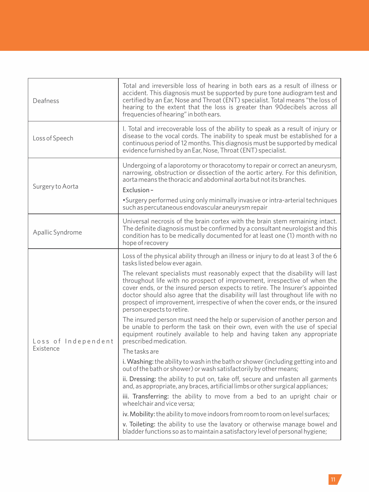| Deafness                         | Total and irreversible loss of hearing in both ears as a result of illness or<br>accident. This diagnosis must be supported by pure tone audiogram test and<br>certified by an Ear, Nose and Throat (ENT) specialist. Total means "the loss of<br>hearing to the extent that the loss is greater than 90 decibels across all<br>frequencies of hearing" in both ears.                                                                                                                                                                                                                                                                                                                                                                                                                                                                                                                                                                                                                                                                                                                                                                                                                                                                                                                                                                                                         |
|----------------------------------|-------------------------------------------------------------------------------------------------------------------------------------------------------------------------------------------------------------------------------------------------------------------------------------------------------------------------------------------------------------------------------------------------------------------------------------------------------------------------------------------------------------------------------------------------------------------------------------------------------------------------------------------------------------------------------------------------------------------------------------------------------------------------------------------------------------------------------------------------------------------------------------------------------------------------------------------------------------------------------------------------------------------------------------------------------------------------------------------------------------------------------------------------------------------------------------------------------------------------------------------------------------------------------------------------------------------------------------------------------------------------------|
| Loss of Speech                   | I. Total and irrecoverable loss of the ability to speak as a result of injury or<br>disease to the vocal cords. The inability to speak must be established for a<br>continuous period of 12 months. This diagnosis must be supported by medical<br>evidence furnished by an Ear, Nose, Throat (ENT) specialist.                                                                                                                                                                                                                                                                                                                                                                                                                                                                                                                                                                                                                                                                                                                                                                                                                                                                                                                                                                                                                                                               |
| Surgery to Aorta                 | Undergoing of a laporotomy or thoracotomy to repair or correct an aneurysm,<br>narrowing, obstruction or dissection of the aortic artery. For this definition,<br>aorta means the thoracic and abdominal aorta but not its branches.<br>Exclusion-<br>. Surgery performed using only minimally invasive or intra-arterial techniques<br>such as percutaneous endovascular aneurysm repair                                                                                                                                                                                                                                                                                                                                                                                                                                                                                                                                                                                                                                                                                                                                                                                                                                                                                                                                                                                     |
| Apallic Syndrome                 | Universal necrosis of the brain cortex with the brain stem remaining intact.<br>The definite diagnosis must be confirmed by a consultant neurologist and this<br>condition has to be medically documented for at least one (1) month with no<br>hope of recovery                                                                                                                                                                                                                                                                                                                                                                                                                                                                                                                                                                                                                                                                                                                                                                                                                                                                                                                                                                                                                                                                                                              |
| Loss of Independent<br>Existence | Loss of the physical ability through an illness or injury to do at least 3 of the 6<br>tasks listed below ever again.<br>The relevant specialists must reasonably expect that the disability will last<br>throughout life with no prospect of improvement, irrespective of when the<br>cover ends, or the insured person expects to retire. The Insurer's appointed<br>doctor should also agree that the disability will last throughout life with no<br>prospect of improvement, irrespective of when the cover ends, or the insured<br>person expects to retire.<br>The insured person must need the help or supervision of another person and<br>be unable to perform the task on their own, even with the use of special<br>equipment routinely available to help and having taken any appropriate<br>prescribed medication.<br>The tasks are<br>i. Washing: the ability to wash in the bath or shower (including getting into and<br>out of the bath or shower) or wash satisfactorily by other means;<br>ii. Dressing: the ability to put on, take off, secure and unfasten all garments<br>and, as appropriate, any braces, artificial limbs or other surgical appliances;<br>iii. Transferring: the ability to move from a bed to an upright chair or<br>wheelchair and vice versa;<br>iv. Mobility: the ability to move indoors from room to room on level surfaces; |
|                                  | v. Toileting: the ability to use the lavatory or otherwise manage bowel and<br>bladder functions so as to maintain a satisfactory level of personal hygiene;                                                                                                                                                                                                                                                                                                                                                                                                                                                                                                                                                                                                                                                                                                                                                                                                                                                                                                                                                                                                                                                                                                                                                                                                                  |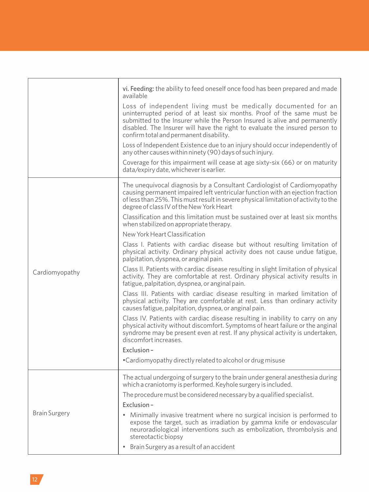|                      | vi. Feeding: the ability to feed oneself once food has been prepared and made<br>available                                                                                                                                                                                                                                                       |
|----------------------|--------------------------------------------------------------------------------------------------------------------------------------------------------------------------------------------------------------------------------------------------------------------------------------------------------------------------------------------------|
|                      | Loss of independent living must be medically documented for an<br>uninterrupted period of at least six months. Proof of the same must be<br>submitted to the Insurer while the Person Insured is alive and permanently<br>disabled. The Insurer will have the right to evaluate the insured person to<br>confirm total and permanent disability. |
|                      | Loss of Independent Existence due to an injury should occur independently of<br>any other causes within ninety (90) days of such injury.                                                                                                                                                                                                         |
|                      | Coverage for this impairment will cease at age sixty-six $(66)$ or on maturity<br>data/expiry date, whichever is earlier.                                                                                                                                                                                                                        |
|                      | The unequivocal diagnosis by a Consultant Cardiologist of Cardiomyopathy<br>causing permanent impaired left ventricular function with an ejection fraction<br>of less than 25%. This must result in severe physical limitation of activity to the<br>degree of class IV of the New York Heart                                                    |
|                      | Classification and this limitation must be sustained over at least six months<br>when stabilized on appropriate therapy.                                                                                                                                                                                                                         |
|                      | New York Heart Classification                                                                                                                                                                                                                                                                                                                    |
| Cardiomyopathy       | Class I. Patients with cardiac disease but without resulting limitation of<br>physical activity. Ordinary physical activity does not cause undue fatigue,<br>palpitation, dyspnea, or anginal pain.                                                                                                                                              |
|                      | Class II. Patients with cardiac disease resulting in slight limitation of physical<br>activity. They are comfortable at rest. Ordinary physical activity results in<br>fatigue, palpitation, dyspnea, or anginal pain.                                                                                                                           |
|                      | Class III. Patients with cardiac disease resulting in marked limitation of<br>physical activity. They are comfortable at rest. Less than ordinary activity<br>causes fatigue, palpitation, dyspnea, or anginal pain.                                                                                                                             |
|                      | Class IV. Patients with cardiac disease resulting in inability to carry on any<br>physical activity without discomfort. Symptoms of heart failure or the anginal<br>syndrome may be present even at rest. If any physical activity is undertaken,<br>discomfort increases.                                                                       |
|                      | Exclusion-                                                                                                                                                                                                                                                                                                                                       |
|                      | •Cardiomyopathy directly related to alcohol or drug misuse                                                                                                                                                                                                                                                                                       |
| <b>Brain Surgery</b> | The actual undergoing of surgery to the brain under general anesthesia during<br>which a craniotomy is performed. Keyhole surgery is included.                                                                                                                                                                                                   |
|                      | The procedure must be considered necessary by a qualified specialist.                                                                                                                                                                                                                                                                            |
|                      | Exclusion-                                                                                                                                                                                                                                                                                                                                       |
|                      | • Minimally invasive treatment where no surgical incision is performed to<br>expose the target, such as irradiation by gamma knife or endovascular<br>neuroradiological interventions such as embolization, thrombolysis and<br>stereotactic biopsy                                                                                              |
|                      | Brain Surgery as a result of an accident                                                                                                                                                                                                                                                                                                         |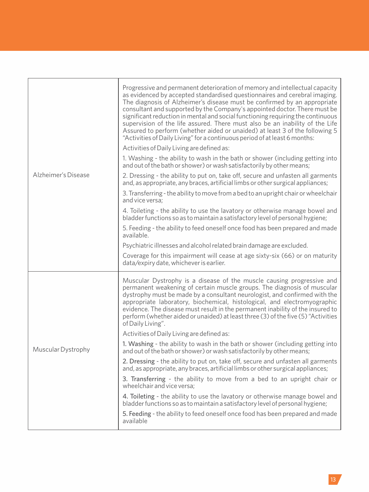| Alzheimer's Disease | Progressive and permanent deterioration of memory and intellectual capacity<br>as evidenced by accepted standardised questionnaires and cerebral imaging.<br>The diagnosis of Alzheimer's disease must be confirmed by an appropriate<br>consultant and supported by the Company's appointed doctor. There must be<br>significant reduction in mental and social functioning requiring the continuous<br>supervision of the life assured. There must also be an inability of the Life<br>Assured to perform (whether aided or unaided) at least 3 of the following 5<br>"Activities of Daily Living" for a continuous period of at least 6 months: |
|---------------------|----------------------------------------------------------------------------------------------------------------------------------------------------------------------------------------------------------------------------------------------------------------------------------------------------------------------------------------------------------------------------------------------------------------------------------------------------------------------------------------------------------------------------------------------------------------------------------------------------------------------------------------------------|
|                     | Activities of Daily Living are defined as:                                                                                                                                                                                                                                                                                                                                                                                                                                                                                                                                                                                                         |
|                     | 1. Washing - the ability to wash in the bath or shower (including getting into<br>and out of the bath or shower) or wash satisfactorily by other means;                                                                                                                                                                                                                                                                                                                                                                                                                                                                                            |
|                     | 2. Dressing - the ability to put on, take off, secure and unfasten all garments<br>and, as appropriate, any braces, artificial limbs or other surgical appliances;                                                                                                                                                                                                                                                                                                                                                                                                                                                                                 |
|                     | 3. Transferring - the ability to move from a bed to an upright chair or wheelchair<br>and vice versa:                                                                                                                                                                                                                                                                                                                                                                                                                                                                                                                                              |
|                     | 4. Toileting - the ability to use the lavatory or otherwise manage bowel and<br>bladder functions so as to maintain a satisfactory level of personal hygiene;                                                                                                                                                                                                                                                                                                                                                                                                                                                                                      |
|                     | 5. Feeding - the ability to feed oneself once food has been prepared and made<br>available.                                                                                                                                                                                                                                                                                                                                                                                                                                                                                                                                                        |
|                     | Psychiatric illnesses and alcohol related brain damage are excluded.                                                                                                                                                                                                                                                                                                                                                                                                                                                                                                                                                                               |
|                     | Coverage for this impairment will cease at age sixty-six (66) or on maturity<br>data/expiry date, whichever is earlier.                                                                                                                                                                                                                                                                                                                                                                                                                                                                                                                            |
| Muscular Dystrophy  | Muscular Dystrophy is a disease of the muscle causing progressive and<br>permanent weakening of certain muscle groups. The diagnosis of muscular<br>dystrophy must be made by a consultant neurologist, and confirmed with the<br>appropriate laboratory, biochemical, histological, and electromyographic<br>evidence. The disease must result in the permanent inability of the insured to<br>perform (whether aided or unaided) at least three (3) of the five (5) "Activities<br>of Daily Living".                                                                                                                                             |
|                     | Activities of Daily Living are defined as:                                                                                                                                                                                                                                                                                                                                                                                                                                                                                                                                                                                                         |
|                     | 1. Washing - the ability to wash in the bath or shower (including getting into<br>and out of the bath or shower) or wash satisfactorily by other means;                                                                                                                                                                                                                                                                                                                                                                                                                                                                                            |
|                     | 2. Dressing - the ability to put on, take off, secure and unfasten all garments<br>and, as appropriate, any braces, artificial limbs or other surgical appliances;                                                                                                                                                                                                                                                                                                                                                                                                                                                                                 |
|                     | 3. Transferring - the ability to move from a bed to an upright chair or<br>wheelchair and vice versa;                                                                                                                                                                                                                                                                                                                                                                                                                                                                                                                                              |
|                     | 4. Toileting - the ability to use the lavatory or otherwise manage bowel and<br>bladder functions so as to maintain a satisfactory level of personal hygiene;                                                                                                                                                                                                                                                                                                                                                                                                                                                                                      |
|                     | 5. Feeding - the ability to feed oneself once food has been prepared and made<br>available                                                                                                                                                                                                                                                                                                                                                                                                                                                                                                                                                         |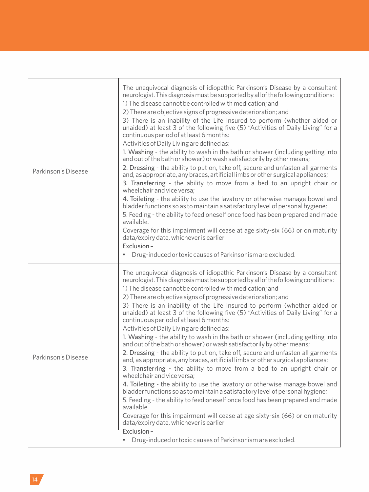| Parkinson's Disease | The unequivocal diagnosis of idiopathic Parkinson's Disease by a consultant<br>neurologist. This diagnosis must be supported by all of the following conditions:<br>1) The disease cannot be controlled with medication: and<br>2) There are objective signs of progressive deterioration; and<br>3) There is an inability of the Life Insured to perform (whether aided or<br>unaided) at least 3 of the following five (5) "Activities of Daily Living" for a<br>continuous period of at least 6 months:<br>Activities of Daily Living are defined as:<br>1. Washing - the ability to wash in the bath or shower (including getting into<br>and out of the bath or shower) or wash satisfactorily by other means;<br>2. Dressing - the ability to put on, take off, secure and unfasten all garments<br>and, as appropriate, any braces, artificial limbs or other surgical appliances;<br>3. Transferring - the ability to move from a bed to an upright chair or<br>wheelchair and vice versa:<br>4. Toileting - the ability to use the lavatory or otherwise manage bowel and<br>bladder functions so as to maintain a satisfactory level of personal hygiene;<br>5. Feeding - the ability to feed oneself once food has been prepared and made<br>available.<br>Coverage for this impairment will cease at age sixty-six (66) or on maturity<br>data/expiry date, whichever is earlier<br>Exclusion-<br>Drug-induced or toxic causes of Parkinsonism are excluded.<br>٠ |
|---------------------|-------------------------------------------------------------------------------------------------------------------------------------------------------------------------------------------------------------------------------------------------------------------------------------------------------------------------------------------------------------------------------------------------------------------------------------------------------------------------------------------------------------------------------------------------------------------------------------------------------------------------------------------------------------------------------------------------------------------------------------------------------------------------------------------------------------------------------------------------------------------------------------------------------------------------------------------------------------------------------------------------------------------------------------------------------------------------------------------------------------------------------------------------------------------------------------------------------------------------------------------------------------------------------------------------------------------------------------------------------------------------------------------------------------------------------------------------------------------------------|
| Parkinson's Disease | The unequivocal diagnosis of idiopathic Parkinson's Disease by a consultant<br>neurologist. This diagnosis must be supported by all of the following conditions:<br>1) The disease cannot be controlled with medication; and<br>2) There are objective signs of progressive deterioration; and<br>3) There is an inability of the Life Insured to perform (whether aided or<br>unaided) at least 3 of the following five (5) "Activities of Daily Living" for a<br>continuous period of at least 6 months:<br>Activities of Daily Living are defined as:<br>1. Washing - the ability to wash in the bath or shower (including getting into<br>and out of the bath or shower) or wash satisfactorily by other means;<br>2. Dressing - the ability to put on, take off, secure and unfasten all garments<br>and, as appropriate, any braces, artificial limbs or other surgical appliances;<br>3. Transferring - the ability to move from a bed to an upright chair or<br>wheelchair and vice versa:<br>4. Toileting - the ability to use the lavatory or otherwise manage bowel and<br>bladder functions so as to maintain a satisfactory level of personal hygiene;<br>5. Feeding - the ability to feed oneself once food has been prepared and made<br>available.<br>Coverage for this impairment will cease at age sixty-six (66) or on maturity<br>data/expiry date, whichever is earlier<br>Exclusion-<br>Drug-induced or toxic causes of Parkinsonism are excluded.      |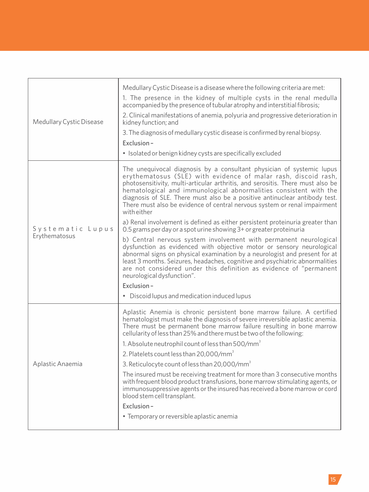| Medullary Cystic Disease          | Medullary Cystic Disease is a disease where the following criteria are met:<br>1. The presence in the kidney of multiple cysts in the renal medulla<br>accompanied by the presence of tubular atrophy and interstitial fibrosis;<br>2. Clinical manifestations of anemia, polyuria and progressive deterioration in<br>kidney function; and<br>3. The diagnosis of medullary cystic disease is confirmed by renal biopsy.<br>Exclusion-<br>• Isolated or benign kidney cysts are specifically excluded                                                    |
|-----------------------------------|-----------------------------------------------------------------------------------------------------------------------------------------------------------------------------------------------------------------------------------------------------------------------------------------------------------------------------------------------------------------------------------------------------------------------------------------------------------------------------------------------------------------------------------------------------------|
| Systematic Lupus<br>Erythematosus | The unequivocal diagnosis by a consultant physician of systemic lupus<br>erythematosus (SLE) with evidence of malar rash, discoid rash,<br>photosensitivity, multi-articular arthritis, and serositis. There must also be<br>hematological and immunological abnormalities consistent with the<br>diagnosis of SLE. There must also be a positive antinuclear antibody test.<br>There must also be evidence of central nervous system or renal impairment<br>with either<br>a) Renal involvement is defined as either persistent proteinuria greater than |
|                                   | 0.5 grams per day or a spot urine showing 3+ or greater proteinuria<br>b) Central nervous system involvement with permanent neurological<br>dysfunction as evidenced with objective motor or sensory neurological<br>abnormal signs on physical examination by a neurologist and present for at<br>least 3 months. Seizures, headaches, cognitive and psychiatric abnormalities<br>are not considered under this definition as evidence of "permanent<br>neurological dysfunction".<br>Exclusion-                                                         |
|                                   | • Discoid lupus and medication induced lupus                                                                                                                                                                                                                                                                                                                                                                                                                                                                                                              |
| Aplastic Anaemia                  | Aplastic Anemia is chronic persistent bone marrow failure. A certified<br>hematologist must make the diagnosis of severe irreversible aplastic anemia.<br>There must be permanent bone marrow failure resulting in bone marrow<br>cellularity of less than 25% and there must be two of the following:                                                                                                                                                                                                                                                    |
|                                   | 1. Absolute neutrophil count of less than 500/mm <sup>3</sup>                                                                                                                                                                                                                                                                                                                                                                                                                                                                                             |
|                                   | 2. Platelets count less than 20,000/mm <sup>3</sup>                                                                                                                                                                                                                                                                                                                                                                                                                                                                                                       |
|                                   | 3. Reticulocyte count of less than 20,000/mm <sup>3</sup>                                                                                                                                                                                                                                                                                                                                                                                                                                                                                                 |
|                                   | The insured must be receiving treatment for more than 3 consecutive months<br>with frequent blood product transfusions, bone marrow stimulating agents, or<br>immunosuppressive agents or the insured has received a bone marrow or cord<br>blood stem cell transplant.                                                                                                                                                                                                                                                                                   |
|                                   | Exclusion-                                                                                                                                                                                                                                                                                                                                                                                                                                                                                                                                                |
|                                   | • Temporary or reversible aplastic anemia                                                                                                                                                                                                                                                                                                                                                                                                                                                                                                                 |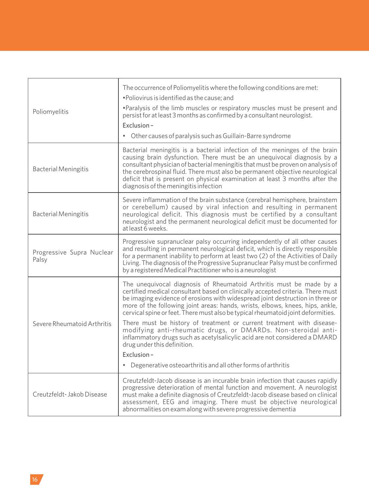| Poliomyelitis                      | The occurrence of Poliomyelitis where the following conditions are met:<br>. Poliovirus is identified as the cause; and<br>. Paralysis of the limb muscles or respiratory muscles must be present and<br>persist for at least 3 months as confirmed by a consultant neurologist.<br>Exclusion-<br>• Other causes of paralysis such as Guillain-Barre syndrome                                                                                   |
|------------------------------------|-------------------------------------------------------------------------------------------------------------------------------------------------------------------------------------------------------------------------------------------------------------------------------------------------------------------------------------------------------------------------------------------------------------------------------------------------|
| <b>Bacterial Meningitis</b>        | Bacterial meningitis is a bacterial infection of the meninges of the brain<br>causing brain dysfunction. There must be an unequivocal diagnosis by a<br>consultant physician of bacterial meningitis that must be proven on analysis of<br>the cerebrospinal fluid. There must also be permanent objective neurological<br>deficit that is present on physical examination at least 3 months after the<br>diagnosis of the meningitis infection |
| <b>Bacterial Meningitis</b>        | Severe inflammation of the brain substance (cerebral hemisphere, brainstem<br>or cerebellum) caused by viral infection and resulting in permanent<br>neurological deficit. This diagnosis must be certified by a consultant<br>neurologist and the permanent neurological deficit must be documented for<br>at least 6 weeks.                                                                                                                   |
| Progressive Supra Nuclear<br>Palsy | Progressive supranuclear palsy occurring independently of all other causes<br>and resulting in permanent neurological deficit, which is directly responsible<br>for a permanent inability to perform at least two (2) of the Activities of Daily<br>Living. The diagnosis of the Progressive Supranuclear Palsy must be confirmed<br>by a registered Medical Practitioner who is a neurologist                                                  |
| Severe Rheumatoid Arthritis        | The unequivocal diagnosis of Rheumatoid Arthritis must be made by a<br>certified medical consultant based on clinically accepted criteria. There must<br>be imaging evidence of erosions with widespread joint destruction in three or<br>more of the following joint areas: hands, wrists, elbows, knees, hips, ankle,<br>cervical spine or feet. There must also be typical rheumatoid joint deformities.                                     |
|                                    | There must be history of treatment or current treatment with disease-<br>modifying anti-rheumatic drugs, or DMARDs. Non-steroidal anti-<br>inflammatory drugs such as acetylsalicylic acid are not considered a DMARD<br>drug under this definition.<br>Exclusion-                                                                                                                                                                              |
|                                    | • Degenerative osteoarthritis and all other forms of arthritis                                                                                                                                                                                                                                                                                                                                                                                  |
| Creutzfeldt-Jakob Disease          | Creutzfeldt-Jacob disease is an incurable brain infection that causes rapidly<br>progressive deterioration of mental function and movement. A neurologist<br>must make a definite diagnosis of Creutzfeldt-Jacob disease based on clinical<br>assessment, EEG and imaging. There must be objective neurological<br>abnormalities on exam along with severe progressive dementia                                                                 |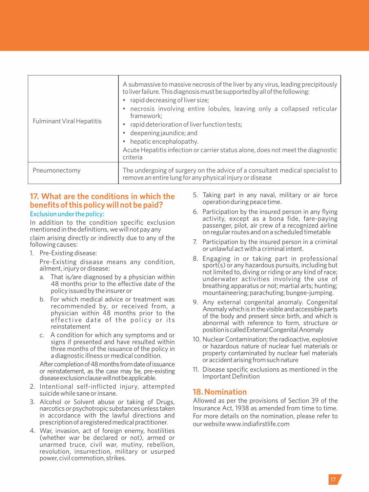| <b>Fulminant Viral Hepatitis</b> | A submassive to massive necrosis of the liver by any virus, leading precipitously<br>to liver failure. This diagnosis must be supported by all of the following:<br>rapid decreasing of liver size;<br>necrosis involving entire lobules, leaving only a collapsed reticular<br>framework;<br>rapid deterioration of liver function tests;<br>• deepening jaundice; and<br>hepatic encephalopathy.<br>Acute Hepatitis infection or carrier status alone, does not meet the diagnostic<br>criteria |
|----------------------------------|---------------------------------------------------------------------------------------------------------------------------------------------------------------------------------------------------------------------------------------------------------------------------------------------------------------------------------------------------------------------------------------------------------------------------------------------------------------------------------------------------|
| Pneumonectomy                    | The undergoing of surgery on the advice of a consultant medical specialist to<br>remove an entire lung for any physical injury or disease                                                                                                                                                                                                                                                                                                                                                         |

# **17. What are the conditions in which the benefits of this policy will not be paid?** Exclusion under the policy:

In addition to the condition specific exclusion mentioned in the definitions, we will not pay any claim arising directly or indirectly due to any of the

following causes:

1. Pre-Existing disease:

Pre-Existing disease means any condition, ailment, injury or disease:

- a. That is/are diagnosed by a physician within 48 months prior to the effective date of the policy issued by the insurer or
- b. For which medical advice or treatment was recommended by, or received from, a physician within 48 months prior to the effective date of the policy or its reinstatement
- c. A condition for which any symptoms and or signs if presented and have resulted within three months of the issuance of the policy in a diagnostic illness or medical condition.

After completion of 48 months from date of issuance or reinstatement, as the case may be, pre-existing disease exclusion clause will not be applicable.

- 2. Intentional self-inflicted injury, attempted suicide while sane or insane.
- 3. Alcohol or Solvent abuse or taking of Drugs, narcotics or psychotropic substances unless taken in accordance with the lawful directions and prescription of a registered medical practitioner.
- 4. War, invasion, act of foreign enemy, hostilities (whether war be declared or not), armed or unarmed truce, civil war, mutiny, rebellion, revolution, insurrection, military or usurped power, civil commotion, strikes.
- 5. Taking part in any naval, military or air force operation during peace time.
- 6. Participation by the insured person in any flying activity, except as a bona fide, fare-paying passenger, pilot, air crew of a recognized airline on regular routes and on a scheduled timetable
- 7. Participation by the insured person in a criminal or unlawful act with a criminal intent.
- 8. Engaging in or taking part in professional sport(s) or any hazardous pursuits, including but not limited to, diving or riding or any kind of race; underwater activities involving the use of breathing apparatus or not; martial arts; hunting; mountaineering; parachuting; bungee-jumping.
- 9. Any external congenital anomaly. Congenital Anomaly which is in the visible and accessible parts of the body and present since birth, and which is abnormal with reference to form, structure or position is called External Congenital Anomaly
- 10. Nuclear Contamination: the radioactive, explosive or hazardous nature of nuclear fuel materials or property contaminated by nuclear fuel materials oraccidentarisingfromsuchnature
- 11. Disease specific exclusions as mentioned in the Important Definition

# **18. Nomination**

Allowed as per the provisions of Section 39 of the Insurance Act, 1938 as amended from time to time. For more details on the nomination, please refer to our website www.indiafirstlife.com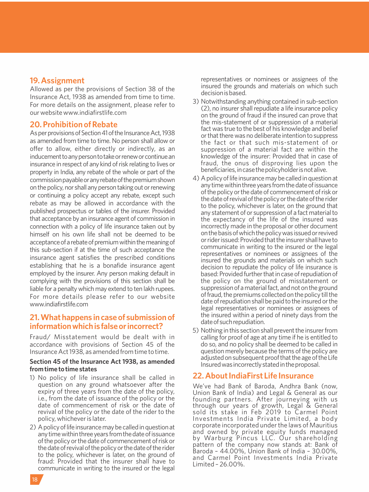#### **19. Assignment**

Allowed as per the provisions of Section 38 of the Insurance Act, 1938 as amended from time to time. For more details on the assignment, please refer to our website www.indiafirstlife.com

#### **20. Prohibition of Rebate**

As per provisions of Section 41 of the Insurance Act, 1938 as amended from time to time. No person shall allow or offer to allow, either directly or indirectly, as an inducement to any person to take or renew or continue an insurance in respect of any kind of risk relating to lives or property in India, any rebate of the whole or part of the commission payable or any rebate of the premium shown on the policy, nor shall any person taking out or renewing or continuing a policy accept any rebate, except such rebate as may be allowed in accordance with the published prospectus or tables of the insurer. Provided that acceptance by an insurance agent of commission in connection with a policy of life insurance taken out by himself on his own life shall not be deemed to be acceptance of a rebate of premium within the meaning of this sub-section if at the time of such acceptance the insurance agent satisfies the prescribed conditions establishing that he is a bonafide insurance agent employed by the insurer. Any person making default in complying with the provisions of this section shall be liable for a penalty which may extend to ten lakh rupees. For more details please refer to our website www.indiafirstlife.com

# **21.Whathappens incaseof submissionof informationwhichisfalseorincorrect?**

Fraud/ Misstatement would be dealt with in accordance with provisions of Section 45 of the Insurance Act 1938, as amended from time to time.

#### **Section 45 of the Insurance Act 1938, as amended from time to time states**

- 1) No policy of life insurance shall be called in question on any ground whatsoever after the expiry of three years from the date of the policy, i.e., from the date of issuance of the policy or the date of commencement of risk or the date of revival of the policy or the date of the rider to the policy, whichever is later.
- 2) A policy of life insurance may be called in question at any time within three years from the date of issuance of the policy or the date of commencement of risk or the date of revival of the policy or the date of the rider to the policy, whichever is later, on the ground of fraud: Provided that the insurer shall have to communicate in writing to the insured or the legal

representatives or nominees or assignees of the insured the grounds and materials on which such decisionisbased.

- 3) Notwithstanding anything contained in sub-section (2), no insurer shall repudiate a life insurance policy on the ground of fraud if the insured can prove that the mis-statement of or suppression of a material fact was true to the best of his knowledge and belief or that there was no deliberate intention to suppress the fact or that such mis-statement of or suppression of a material fact are within the knowledge of the insurer: Provided that in case of fraud, the onus of disproving lies upon the beneficiaries,incasethepolicyholderisnotalive.
- 4) A policy of life insurance may be called in question at any time within three years from the date of issuance of the policy or the date of commencement of risk or the date of revival of the policy or the date of the rider to the policy, whichever is later, on the ground that any statement of or suppression of a fact material to the expectancy of the life of the insured was incorrectly made in the proposal or other document onthebasisofwhichthepolicywasissuedorrevived or rider issued: Provided that the insurer shall have to communicate in writing to the insured or the legal representatives or nominees or assignees of the insured the grounds and materials on which such decision to repudiate the policy of life insurance is based: Provided further that in case of repudiation of the policy on the ground of misstatement or suppression of a material fact, and not on the ground of fraud, the premiums collected on the policy till the date of repudiation shall be paid to the insured or the legal representatives or nominees or assignees of the insured within a period of ninety days from the dateofsuchrepudiation.
- 5) Nothing in this section shall prevent the insurer from calling for proof of age at any time if he is entitled to do so, and no policy shall be deemed to be called in question merely because the terms of the policy are adjusted on subsequent proof that the age of the Life Insuredwasincorrectlystatedintheproposal.

#### **22. About IndiaFirst Life Insurance**

We've had Bank of Baroda, Andhra Bank (now, Union Bank of India) and Legal & General as our founding partners. After journeying with us through our years of growth, Legal & General sold its stake in Feb 2019 to Carmel Point Investments India Private Limited, a body corporate incorporated underthe laws of Mauritius and owned by private equity funds managed by Warburg Pincus LLC. Our shareholding pattern of the company now stands at: Bank of Baroda – 44.00%, Union Bank of India – 30.00%, and Carmel Point Investments India Private Limited – 26.00%.